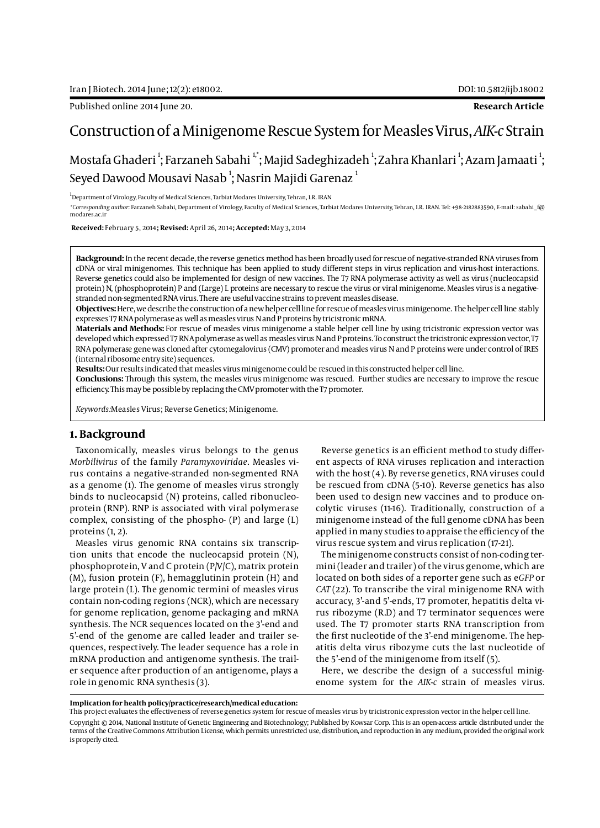Published online 2014 June 20. **Research Article**

# Construction of a Minigenome Rescue System for Measles Virus, *AIK-c* Strain

# Mostafa Ghaderi <sup>1</sup>; Farzaneh Sabahi <sup>1,</sup>°; Majid Sadeghizadeh <sup>1</sup>; Zahra Khanlari <sup>1</sup>; Azam Jamaati <sup>1</sup>; Seyed Dawood Mousavi Nasab $^{\rm l}$ ; Nasrin Majidi Garenaz $^{\rm l}$

<sup>1</sup>Department of Virology, Faculty of Medical Sciences, Tarbiat Modares University, Tehran, I.R. IRAN

*\*Corresponding author*: Farzaneh Sabahi, Department of Virology, Faculty of Medical Sciences, Tarbiat Modares University, Tehran, I.R. IRAN. Tel: +98-2182883590, E-mail: sabahi\_f@ modares.ac.ir

 **Received:** February 5, 2014**; Revised:** April 26, 2014**; Accepted:** May 3, 2014

**Background:** In the recent decade, the reverse genetics method has been broadly used for rescue of negative-stranded RNA viruses from cDNA or viral minigenomes. This technique has been applied to study different steps in virus replication and virus-host interactions. Reverse genetics could also be implemented for design of new vaccines. The T7 RNA polymerase activity as well as virus (nucleocapsid protein) N, (phosphoprotein) P and (Large) L proteins are necessary to rescue the virus or viral minigenome. Measles virus is a negativestranded non-segmented RNA virus. There are useful vaccine strains to prevent measles disease.

**Objectives:** Here, we describe the construction of a new helper cell line for rescue of measles virus minigenome. The helper cell line stably expresses T7 RNA polymerase as well as measles virus N and P proteins by tricistronic mRNA.

**Materials and Methods:** For rescue of measles virus minigenome a stable helper cell line by using tricistronic expression vector was developed which expressed T7 RNA polymerase as well as measles virus N and P proteins. To construct the tricistronic expression vector, T7 RNA polymerase gene was cloned after cytomegalovirus (CMV) promoter and measles virus N and P proteins were under control of IRES (internal ribosome entry site) sequences.

**Results:** Our results indicated that measles virus minigenome could be rescued in this constructed helper cell line.

**Conclusions:** Through this system, the measles virus minigenome was rescued. Further studies are necessary to improve the rescue efficiency. This may be possible by replacing the CMV promoter with the T7 promoter.

*Keywords:*Measles Virus; Reverse Genetics; Minigenome.

## **1. Background**

Taxonomically, measles virus belongs to the genus *Morbilivirus* of the family *Paramyxoviridae*. Measles virus contains a negative-stranded non-segmented RNA as a genome (1). The genome of measles virus strongly binds to nucleocapsid (N) proteins, called ribonucleoprotein (RNP). RNP is associated with viral polymerase complex, consisting of the phospho- (P) and large (L) proteins (1, 2).

Measles virus genomic RNA contains six transcription units that encode the nucleocapsid protein (N), phosphoprotein, V and C protein (P/V/C), matrix protein (M), fusion protein (F), hemagglutinin protein (H) and large protein (L). The genomic termini of measles virus contain non-coding regions (NCR), which are necessary for genome replication, genome packaging and mRNA synthesis. The NCR sequences located on the 3'-end and 5'-end of the genome are called leader and trailer sequences, respectively. The leader sequence has a role in mRNA production and antigenome synthesis. The trailer sequence after production of an antigenome, plays a role in genomic RNA synthesis (3).

Reverse genetics is an efficient method to study different aspects of RNA viruses replication and interaction with the host (4). By reverse genetics, RNA viruses could be rescued from cDNA (5-10). Reverse genetics has also been used to design new vaccines and to produce oncolytic viruses (11-16). Traditionally, construction of a minigenome instead of the full genome cDNA has been applied in many studies to appraise the efficiency of the virus rescue system and virus replication (17-21).

The minigenome constructs consist of non-coding termini (leader and trailer) of the virus genome, which are located on both sides of a reporter gene such as e*GFP* or *CAT* (22). To transcribe the viral minigenome RNA with accuracy, 3'-and 5'-ends, T7 promoter, hepatitis delta virus ribozyme (R.D) and T7 terminator sequences were used. The T7 promoter starts RNA transcription from the first nucleotide of the 3'-end minigenome. The hepatitis delta virus ribozyme cuts the last nucleotide of the 5'-end of the minigenome from itself (5).

Here, we describe the design of a successful minigenome system for the *AIK-c* strain of measles virus.

**Implication for health policy/practice/research/medical education:**

Copyright © 2014, National Institute of Genetic Engineering and Biotechnology; Published by Kowsar Corp. This is an open-access article distributed under the terms of the Creative Commons Attribution License, which permits unrestricted use, distribution, and reproduction in any medium, provided the original work is properly cited.

This project evaluates the effectiveness of reverse genetics system for rescue of measles virus by tricistronic expression vector in the helper cell line.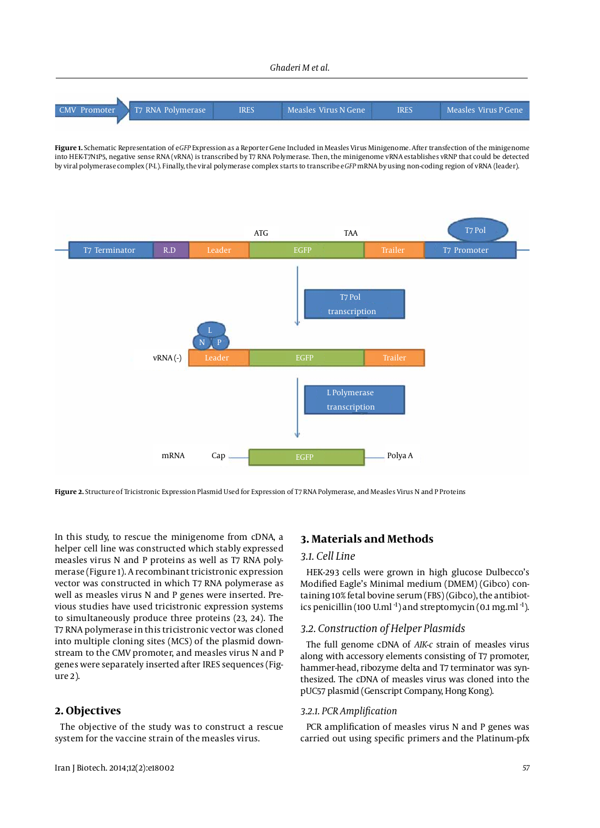#### *Ghaderi M et al.*



**Figure 1.** Schematic Representation of e*GFP* Expression as a Reporter Gene Included in Measles Virus Minigenome. After transfection of the minigenome into HEK-T7N1P5, negative sense RNA (vRNA) is transcribed by T7 RNA Polymerase. Then, the minigenome vRNA establishes vRNP that could be detected by viral polymerase complex (P-L). Finally, the viral polymerase complex starts to transcribe e*GFP* mRNA by using non-coding region of vRNA (leader).



**Figure 2.** Structure of Tricistronic Expression Plasmid Used for Expression of T7 RNA Polymerase, and Measles Virus N and P Proteins

In this study, to rescue the minigenome from cDNA, a helper cell line was constructed which stably expressed measles virus N and P proteins as well as T7 RNA polymerase (Figure 1). A recombinant tricistronic expression vector was constructed in which T7 RNA polymerase as well as measles virus N and P genes were inserted. Previous studies have used tricistronic expression systems to simultaneously produce three proteins (23, 24). The T7 RNA polymerase in this tricistronic vector was cloned into multiple cloning sites (MCS) of the plasmid downstream to the CMV promoter, and measles virus N and P genes were separately inserted after IRES sequences (Figure 2).

## **2. Objectives**

The objective of the study was to construct a rescue system for the vaccine strain of the measles virus.

# **3. Materials and Methods**

### *3.1. Cell Line*

HEK-293 cells were grown in high glucose Dulbecco's Modified Eagle's Minimal medium (DMEM) (Gibco) containing 10% fetal bovine serum (FBS) (Gibco), the antibiotics penicillin (100 U.ml $^{-1}$ ) and streptomycin (0.1 mg.ml $^{-1}$ ).

### *3.2. Construction of Helper Plasmids*

The full genome cDNA of *AIK-c* strain of measles virus along with accessory elements consisting of T7 promoter, hammer-head, ribozyme delta and T7 terminator was synthesized. The cDNA of measles virus was cloned into the pUC57 plasmid (Genscript Company, Hong Kong).

#### *3.2.1. PCR Amplification*

PCR amplification of measles virus N and P genes was carried out using specific primers and the Platinum-pfx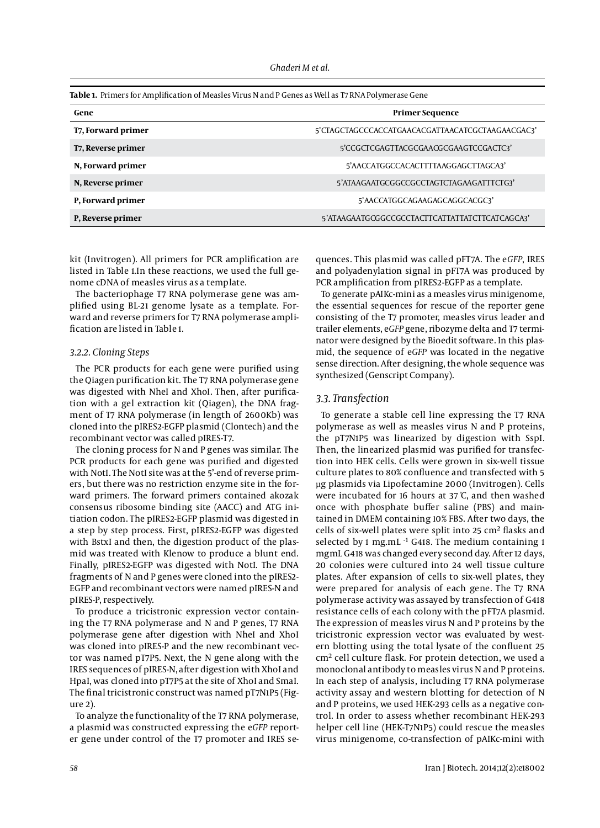| Table 1. Primers for Amplification of Measles Virus N and P Genes as Well as T7 RNA Polymerase Gene |                                                  |
|-----------------------------------------------------------------------------------------------------|--------------------------------------------------|
| Gene                                                                                                | <b>Primer Sequence</b>                           |
| T7, Forward primer                                                                                  | 5'CTAGCTAGCCCACCATGAACACGATTAACATCGCTAAGAACGAC3' |
| T7, Reverse primer                                                                                  | 5'CCGCTCGAGTTACGCGAACGCGAAGTCCGACTC3'            |
| N, Forward primer                                                                                   | 5'AACCATGGCCACACTTTTAAGGAGCTTAGCA3'              |
| N, Reverse primer                                                                                   | 5'ATAAGAATGCGGCCGCCTAGTCTAGAAGATTTCTG3'          |
| P, Forward primer                                                                                   | 5'AACCATGGCAGAAGAGCAGGCACGC3'                    |
| P, Reverse primer                                                                                   | 5'ATAAGAATGCGGCCGCCTACTTCATTATTATCTTCATCAGCA3'   |

kit (Invitrogen). All primers for PCR amplification are listed in Table 1.In these reactions, we used the full genome cDNA of measles virus as a template.

The bacteriophage T7 RNA polymerase gene was amplified using BL-21 genome lysate as a template. Forward and reverse primers for T7 RNA polymerase amplification are listed in Table 1.

### *3.2.2. Cloning Steps*

The PCR products for each gene were purified using the Qiagen purification kit. The T7 RNA polymerase gene was digested with NheI and XhoI. Then, after purification with a gel extraction kit (Qiagen), the DNA fragment of T7 RNA polymerase (in length of 2600Kb) was cloned into the pIRES2-EGFP plasmid (Clontech) and the recombinant vector was called pIRES-T7.

The cloning process for N and P genes was similar. The PCR products for each gene was purified and digested with NotI. The NotI site was at the 5'-end of reverse primers, but there was no restriction enzyme site in the forward primers. The forward primers contained akozak consensus ribosome binding site (AACC) and ATG initiation codon. The pIRES2-EGFP plasmid was digested in a step by step process. First, pIRES2-EGFP was digested with BstxI and then, the digestion product of the plasmid was treated with Klenow to produce a blunt end. Finally, pIRES2-EGFP was digested with NotI. The DNA fragments of N and P genes were cloned into the pIRES2- EGFP and recombinant vectors were named pIRES-N and pIRES-P, respectively.

To produce a tricistronic expression vector containing the T7 RNA polymerase and N and P genes, T7 RNA polymerase gene after digestion with NheI and XhoI was cloned into pIRES-P and the new recombinant vector was named pT7P5. Next, the N gene along with the IRES sequences of pIRES-N, after digestion with XhoI and HpaI, was cloned into pT7P5 at the site of XhoI and SmaI. The final tricistronic construct was named pT7N1P5 (Figure 2).

To analyze the functionality of the T7 RNA polymerase, a plasmid was constructed expressing the e*GFP* reporter gene under control of the T7 promoter and IRES sequences. This plasmid was called pFT7A. The e*GFP*, IRES and polyadenylation signal in pFT7A was produced by PCR amplification from pIRES2-EGFP as a template.

To generate pAIKc-mini as a measles virus minigenome, the essential sequences for rescue of the reporter gene consisting of the T7 promoter, measles virus leader and trailer elements, e*GFP* gene, ribozyme delta and T7 terminator were designed by the Bioedit software. In this plasmid, the sequence of e*GFP* was located in the negative sense direction. After designing, the whole sequence was synthesized (Genscript Company).

## *3.3. Transfection*

To generate a stable cell line expressing the T7 RNA polymerase as well as measles virus N and P proteins, the pT7N1P5 was linearized by digestion with SspI. Then, the linearized plasmid was purified for transfection into HEK cells. Cells were grown in six-well tissue culture plates to 80% confluence and transfected with 5 µg plasmids via Lipofectamine 2000 (Invitrogen). Cells were incubated for 16 hours at 37 ̊C, and then washed once with phosphate buffer saline (PBS) and maintained in DMEM containing 10% FBS. After two days, the cells of six-well plates were split into 25 cm<sup>2</sup> flasks and selected by 1 mg.mL <sup>-1</sup> G418. The medium containing 1 mgmL G418 was changed every second day. After 12 days, 20 colonies were cultured into 24 well tissue culture plates. After expansion of cells to six-well plates, they were prepared for analysis of each gene. The T7 RNA polymerase activity was assayed by transfection of G418 resistance cells of each colony with the pFT7A plasmid. The expression of measles virus N and P proteins by the tricistronic expression vector was evaluated by western blotting using the total lysate of the confluent 25 cm2 cell culture flask. For protein detection, we used a monoclonal antibody to measles virus N and P proteins. In each step of analysis, including T7 RNA polymerase activity assay and western blotting for detection of N and P proteins, we used HEK-293 cells as a negative control. In order to assess whether recombinant HEK-293 helper cell line (HEK-T7N1P5) could rescue the measles virus minigenome, co-transfection of pAIKc-mini with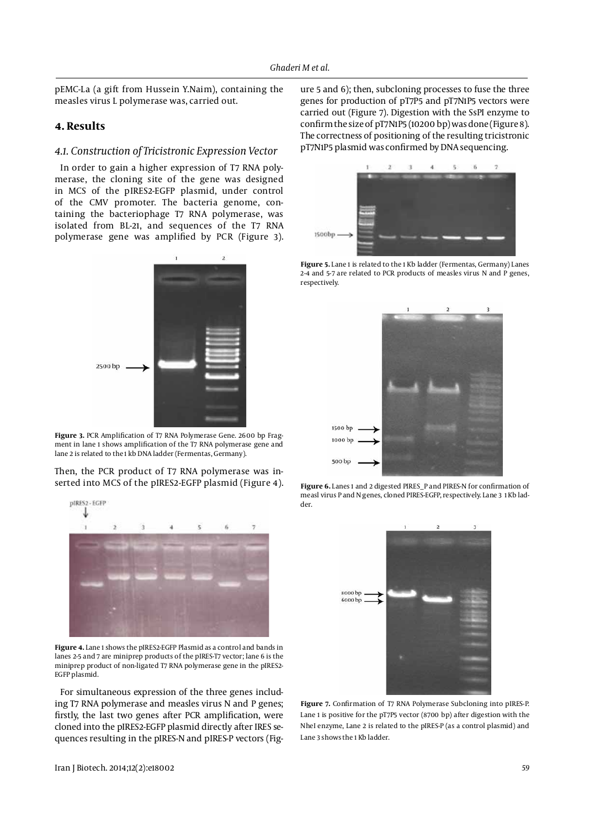pEMC-La (a gift from Hussein Y.Naim), containing the measles virus L polymerase was, carried out.

# **4. Results**

#### *4.1. Construction of Tricistronic Expression Vector*

In order to gain a higher expression of T7 RNA polymerase, the cloning site of the gene was designed in MCS of the pIRES2-EGFP plasmid, under control of the CMV promoter. The bacteria genome, containing the bacteriophage T7 RNA polymerase, was isolated from BL-21, and sequences of the T7 RNA polymerase gene was amplified by PCR (Figure 3).



**Figure 3.** PCR Amplification of T7 RNA Polymerase Gene. 2600 bp Fragment in lane 1 shows amplification of the T7 RNA polymerase gene and lane 2 is related to the 1 kb DNA ladder (Fermentas, Germany).

Then, the PCR product of T7 RNA polymerase was inserted into MCS of the pIRES2-EGFP plasmid (Figure 4).



**Figure 4.** Lane 1 shows the pIRES2-EGFP Plasmid as a control and bands in lanes 2-5 and 7 are miniprep products of the pIRES-T7 vector; lane 6 is the miniprep product of non-ligated T7 RNA polymerase gene in the pIRES2- EGFP plasmid.

For simultaneous expression of the three genes including T7 RNA polymerase and measles virus N and P genes; firstly, the last two genes after PCR amplification, were cloned into the pIRES2-EGFP plasmid directly after IRES sequences resulting in the pIRES-N and pIRES-P vectors (Figure 5 and 6); then, subcloning processes to fuse the three genes for production of pT7P5 and pT7N1P5 vectors were carried out (Figure 7). Digestion with the SsPI enzyme to confirm the size of pT7N1P5 (10200 bp) was done (Figure 8). The correctness of positioning of the resulting tricistronic pT7N1P5 plasmid was confirmed by DNA sequencing.



**Figure 5.** Lane 1 is related to the 1 Kb ladder (Fermentas, Germany) Lanes 2-4 and 5-7 are related to PCR products of measles virus N and P genes, respectively.



**Figure 6.** Lanes 1 and 2 digested PIRES\_P and PIRES-N for confirmation of measl virus P and N genes, cloned PIRES-EGFP, respectively. Lane 3 1 Kb ladder.



**Figure 7.** Confirmation of T7 RNA Polymerase Subcloning into pIRES-P. Lane 1 is positive for the pT7P5 vector (8700 bp) after digestion with the NheI enzyme, Lane 2 is related to the pIRES-P (as a control plasmid) and Lane 3 shows the 1 Kb ladder.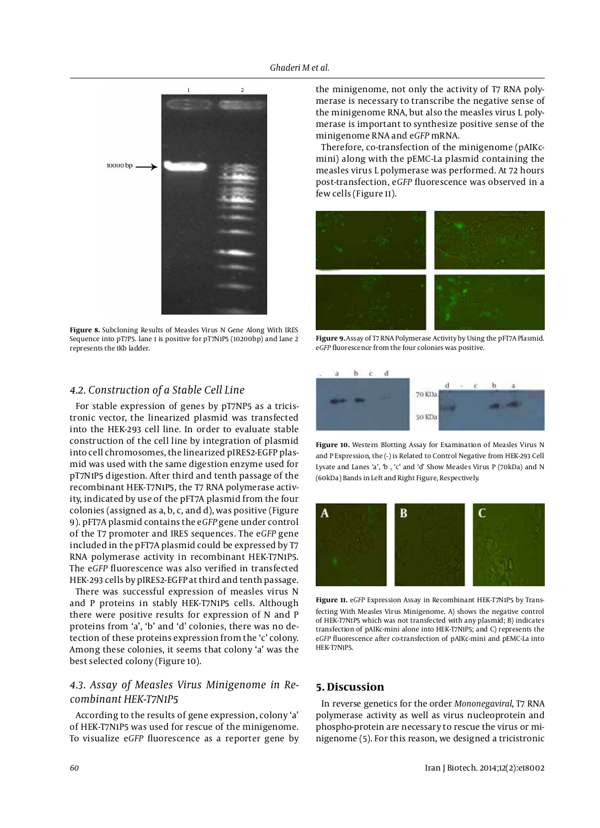

**Figure 8.** Subcloning Results of Measles Virus N Gene Along With IRES Sequence into pT7P5. lane 1 is positive for pT7N1P5 (10200bp) and lane 2 represents the 1Kb ladder.

# *4.2. Construction of a Stable Cell Line*

For stable expression of genes by pT7NP5 as a tricistronic vector, the linearized plasmid was transfected into the HEK-293 cell line. In order to evaluate stable construction of the cell line by integration of plasmid into cell chromosomes, the linearized pIRES2-EGFP plasmid was used with the same digestion enzyme used for pT7N1P5 digestion. After third and tenth passage of the recombinant HEK-T7N1P5, the T7 RNA polymerase activity, indicated by use of the pFT7A plasmid from the four colonies (assigned as a, b, c, and d), was positive (Figure 9). pFT7A plasmid contains the e*GFP* gene under control of the T7 promoter and IRES sequences. The e*GFP* gene included in the pFT7A plasmid could be expressed by T7 RNA polymerase activity in recombinant HEK-T7N1P5. The e*GFP* fluorescence was also verified in transfected HEK-293 cells by pIRES2-EGFP at third and tenth passage.

There was successful expression of measles virus N and P proteins in stably HEK-T7N1P5 cells. Although there were positive results for expression of N and P proteins from 'a', 'b' and 'd' colonies, there was no detection of these proteins expression from the 'c' colony. Among these colonies, it seems that colony 'a' was the best selected colony (Figure 10).

# *4.3. Assay of Measles Virus Minigenome in Recombinant HEK-T7N1P5*

According to the results of gene expression, colony 'a' of HEK-T7N1P5 was used for rescue of the minigenome. To visualize e*GFP* fluorescence as a reporter gene by the minigenome, not only the activity of T7 RNA polymerase is necessary to transcribe the negative sense of the minigenome RNA, but also the measles virus L polymerase is important to synthesize positive sense of the minigenome RNA and e*GFP* mRNA.

Therefore, co-transfection of the minigenome (pAIKcmini) along with the pEMC-La plasmid containing the measles virus L polymerase was performed. At 72 hours post-transfection, e*GFP* fluorescence was observed in a few cells (Figure 11).



**Figure 9.** Assay of T7 RNA Polymerase Activity by Using the pFT7A Plasmid. e*GFP* fluorescence from the four colonies was positive.



**Figure 10.** Western Blotting Assay for Examination of Measles Virus N and P Expression, the (-) is Related to Control Negative from HEK-293 Cell Lysate and Lanes 'a', 'b , 'c' and 'd' Show Measles Virus P (70kDa) and N (60kDa) Bands in Left and Right Figure, Respectively.



**Figure 11.** e*GFP* Expression Assay in Recombinant HEK-T7N1P5 by Transfecting With Measles Virus Minigenome. A) shows the negative control of HEK-T7N1P5 which was not transfected with any plasmid; B) indicates transfection of pAIKc-mini alone into HEK-T7N1P5; and C) represents the e*GFP* fluorescence after co-transfection of pAIKc-mini and pEMC-La into HEK-T7N1P5.

# **5. Discussion**

In reverse genetics for the order *Mononegaviral*, T7 RNA polymerase activity as well as virus nucleoprotein and phospho-protein are necessary to rescue the virus or minigenome (5). For this reason, we designed a tricistronic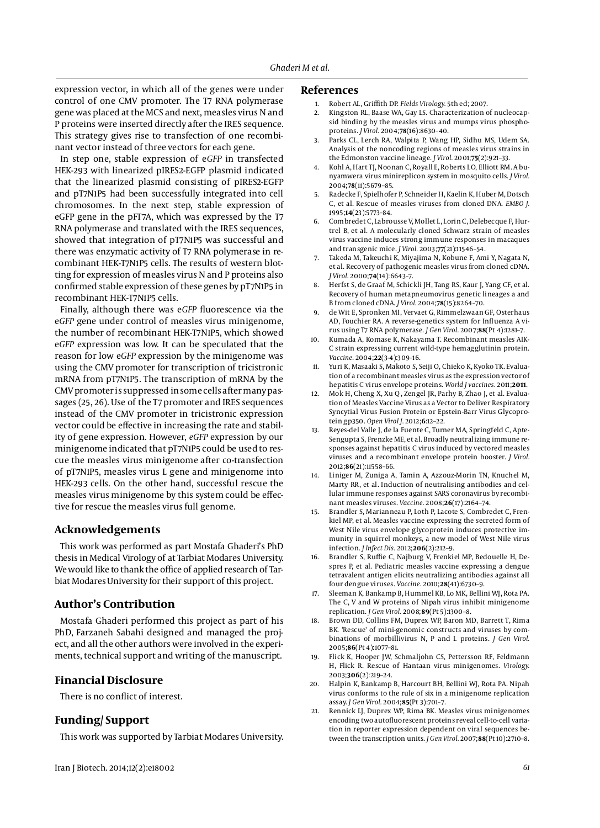expression vector, in which all of the genes were under control of one CMV promoter. The T7 RNA polymerase gene was placed at the MCS and next, measles virus N and P proteins were inserted directly after the IRES sequence. This strategy gives rise to transfection of one recombinant vector instead of three vectors for each gene.

In step one, stable expression of e*GFP* in transfected HEK-293 with linearized pIRES2-EGFP plasmid indicated that the linearized plasmid consisting of pIRES2-EGFP and pT7N1P5 had been successfully integrated into cell chromosomes. In the next step, stable expression of eGFP gene in the pFT7A, which was expressed by the T7 RNA polymerase and translated with the IRES sequences, showed that integration of pT7N1P5 was successful and there was enzymatic activity of T7 RNA polymerase in recombinant HEK-T7N1P5 cells. The results of western blotting for expression of measles virus N and P proteins also confirmed stable expression of these genes by pT7N1P5 in recombinant HEK-T7N1P5 cells.

Finally, although there was e*GFP* fluorescence via the e*GFP* gene under control of measles virus minigenome, the number of recombinant HEK-T7N1P5, which showed e*GFP* expression was low. It can be speculated that the reason for low e*GFP* expression by the minigenome was using the CMV promoter for transcription of tricistronic mRNA from pT7N1P5. The transcription of mRNA by the CMV promoter is suppressed in some cells after many passages (25, 26). Use of the T7 promoter and IRES sequences instead of the CMV promoter in tricistronic expression vector could be effective in increasing the rate and stability of gene expression. However, *eGFP* expression by our minigenome indicated that pT7N1P5 could be used to rescue the measles virus minigenome after co-transfection of pT7N1P5, measles virus L gene and minigenome into HEK-293 cells. On the other hand, successful rescue the measles virus minigenome by this system could be effective for rescue the measles virus full genome.

# **Acknowledgements**

This work was performed as part Mostafa Ghaderi's PhD thesis in Medical Virology of at Tarbiat Modares University. We would like to thank the office of applied research of Tarbiat Modares University for their support of this project.

# **Author's Contribution**

Mostafa Ghaderi performed this project as part of his PhD, Farzaneh Sabahi designed and managed the project, and all the other authors were involved in the experiments, technical support and writing of the manuscript.

### **Financial Disclosure**

There is no conflict of interest.

## **Funding/ Support**

This work was supported by Tarbiat Modares University.

#### **References**

- 1. Robert AL, Griffith DP. *Fields Virology.* 5th ed; 2007.
- 2. Kingston RL, Baase WA, Gay LS. Characterization of nucleocapsid binding by the measles virus and mumps virus phosphoproteins. *J Virol.* 2004;**78**(16):8630–40.
- 3. Parks CL, Lerch RA, Walpita P, Wang HP, Sidhu MS, Udem SA. Analysis of the noncoding regions of measles virus strains in the Edmonston vaccine lineage. *J Virol.* 2001;**75**(2):921–33.
- 4. Kohl A, Hart TJ, Noonan C, Royall E, Roberts LO, Elliott RM. A bunyamwera virus minireplicon system in mosquito cells. *J Virol.* 2004;**78**(11):5679–85.
- 5. Radecke F, Spielhofer P, Schneider H, Kaelin K, Huber M, Dotsch C, et al. Rescue of measles viruses from cloned DNA. *EMBO J.* 1995;**14**(23):5773–84.
- 6. Combredet C, Labrousse V, Mollet L, Lorin C, Delebecque F, Hurtrel B, et al. A molecularly cloned Schwarz strain of measles virus vaccine induces strong immune responses in macaques and transgenic mice. *J Virol.* 2003;**77**(21):11546–54.
- 7. Takeda M, Takeuchi K, Miyajima N, Kobune F, Ami Y, Nagata N, et al. Recovery of pathogenic measles virus from cloned cDNA. *J Virol.* 2000;**74**(14):6643–7.
- 8. Herfst S, de Graaf M, Schickli JH, Tang RS, Kaur J, Yang CF, et al. Recovery of human metapneumovirus genetic lineages a and B from cloned cDNA. *J Virol.* 2004;**78**(15):8264–70.
- 9. de Wit E, Spronken MI, Vervaet G, Rimmelzwaan GF, Osterhaus AD, Fouchier RA. A reverse-genetics system for Influenza A virus using T7 RNA polymerase. *J Gen Virol.* 2007;**88**(Pt 4):1281–7.
- Kumada A, Komase K, Nakayama T. Recombinant measles AIK-C strain expressing current wild-type hemagglutinin protein. *Vaccine.* 2004;**22**(3-4):309–16.
- 11. Yuri K, Masaaki S, Makoto S, Seiji O, Chieko K, Kyoko TK. Evaluation of a recombinant measles virus as the expression vector of hepatitis C virus envelope proteins. *World J vaccines.* 2011;**2011**.
- 12. Mok H, Cheng X, Xu Q, Zengel JR, Parhy B, Zhao J, et al. Evaluation of Measles Vaccine Virus as a Vector to Deliver Respiratory Syncytial Virus Fusion Protein or Epstein-Barr Virus Glycoprotein gp350. *Open Virol J.* 2012;**6**:12–22.
- 13. Reyes-del Valle J, de la Fuente C, Turner MA, Springfeld C, Apte-Sengupta S, Frenzke ME, et al. Broadly neutralizing immune responses against hepatitis C virus induced by vectored measles viruses and a recombinant envelope protein booster. *J Virol.* 2012;**86**(21):11558–66.
- 14. Liniger M, Zuniga A, Tamin A, Azzouz-Morin TN, Knuchel M, Marty RR, et al. Induction of neutralising antibodies and cellular immune responses against SARS coronavirus by recombinant measles viruses. *Vaccine.* 2008;**26**(17):2164–74.
- 15. Brandler S, Marianneau P, Loth P, Lacote S, Combredet C, Frenkiel MP, et al. Measles vaccine expressing the secreted form of West Nile virus envelope glycoprotein induces protective immunity in squirrel monkeys, a new model of West Nile virus infection. *J Infect Dis.* 2012;**206**(2):212–9.
- 16. Brandler S, Ruffie C, Najburg V, Frenkiel MP, Bedouelle H, Despres P, et al. Pediatric measles vaccine expressing a dengue tetravalent antigen elicits neutralizing antibodies against all four dengue viruses. *Vaccine.* 2010;**28**(41):6730–9.
- 17. Sleeman K, Bankamp B, Hummel KB, Lo MK, Bellini WJ, Rota PA. The C, V and W proteins of Nipah virus inhibit minigenome replication. *J Gen Virol.* 2008;**89**(Pt 5):1300–8.
- 18. Brown DD, Collins FM, Duprex WP, Baron MD, Barrett T, Rima BK. 'Rescue' of mini-genomic constructs and viruses by combinations of morbillivirus N, P and L proteins. *J Gen Virol.* 2005;**86**(Pt 4):1077–81.
- 19. Flick K, Hooper JW, Schmaljohn CS, Pettersson RF, Feldmann H, Flick R. Rescue of Hantaan virus minigenomes. *Virology.* 2003;**306**(2):219–24.
- 20. Halpin K, Bankamp B, Harcourt BH, Bellini WJ, Rota PA. Nipah virus conforms to the rule of six in a minigenome replication assay. *J Gen Virol.* 2004;**85**(Pt 3):701–7.
- 21. Rennick LJ, Duprex WP, Rima BK. Measles virus minigenomes encoding two autofluorescent proteins reveal cell-to-cell variation in reporter expression dependent on viral sequences between the transcription units. *J Gen Virol.* 2007;**88**(Pt 10):2710–8.